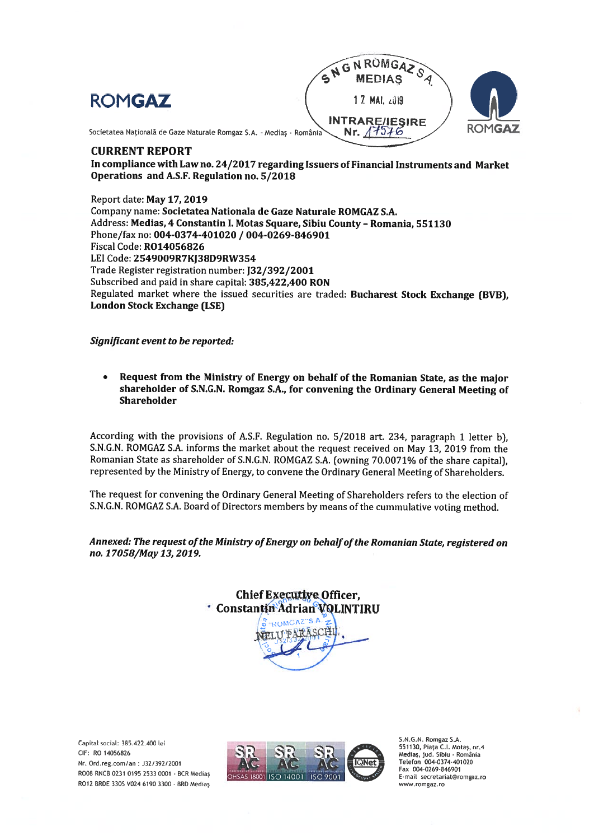





Societatea Națională de Gaze Naturale Romgaz S.A. - Mediaș - România Nr.  $\sqrt{7576}$ 

## CURRENT REPORT

In compliance with Law no. 24/2017 regarding Issuers of Financial Instruments and Market Operations and A.S.F. Regulation no. 5/2018

Report date: May 17, 2019 Company name: Societatea Nationaia de Gaze Naturale ROMGAZ S.A. Address: Medias, 4 Constantin I. Motas Square, Sibiu County - Romania, 551130 Phone/fax no: 004-0374-401020 / 004-0269-846901 Fiscal Code: R014056826 LEI Code: 2549009R7KJ38D9RW354 Trade Register registration number: J32/392/2001 Subscribed and paid in share capital: 385,422,400 RON Regulated market where the issued securities are traded: Bucharest Stock Exchange (BVB), London Stock Exchange (LSE)

Significant event to be reported:

. Request from the Ministry of Energy on behalf of the Romanian State, as the major shareholder of S.N.G.N. Romgaz S.A., for convening the Ordinary General Meeting of Shareholder

According with the provisions of A.S.F. Regulation no. 5/2018 art. 234, paragrap<sup>h</sup> <sup>1</sup> letter b), S.N.G.N. ROMGAZ S.A. informs the market about the reques<sup>t</sup> received on May 13, <sup>2019</sup> from the Romanian State as shareholder of S.N.G.N. ROMGAZ S.A. (owning 70.0071% of the share capital), represented by the Ministry of Energy, to convene the Ordinary General Meeting of Shareholders.

The reques<sup>t</sup> for convening the Ordinary General Meeting of Shareholders refers to the election of S.N.G.N. ROMGAZ S.A. Board of Directors members by means of the cummulative voting method.

Annexed: The request of the Ministry of Energy on behalf of the Romanian State, registered on no. 17058/May 13, 2019.



Capital social: 385.422.400 lei CIF: RO 14056826 Nr. Ord.reg.com/an: J32/392/2001 R008 RNCB 0231 0195 2533 0001 - BCR Medias R012 BRDE 330S V024 6190 3300 . BRD Medias



S.N.G.N. Romgaz S.A. 551130, Piața C.I. Motaș, nr.4<br>Mediaș, jud. Sibiu - România<br>Telefon 004-0374-401020 Fax 004-0269-846901 E-mail secretariat@romgaz.ro www.romgaz.ro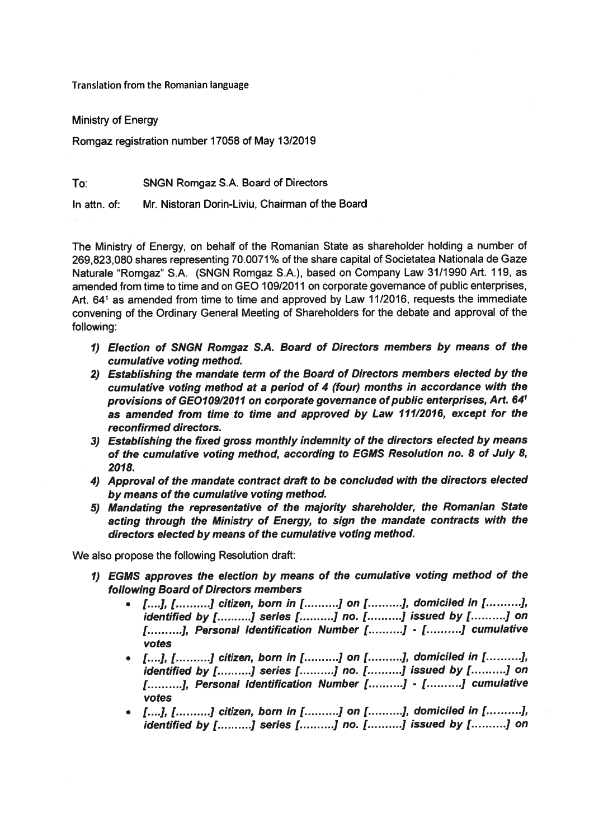Translation from the Romanian language

Ministry of Energy

Romgaz registration number 17058 of May 13/2019

To: SNGN Romgaz S.A. Board of Directors

ln attn. of: Mr. Nistoran Dorin-Liviu, Chairman ofthe Board

The Ministry of Energy, on behalf of the Romanian State as shareholder holding <sup>a</sup> number of 269,823,080 shares representing 70.0071% of the share capital of Societatea Nationala de Gaze Naturale "Romgaz" S.A. (SNGN Romgaz S.A.), based on Company Law 31/1990 Art. 119, as amended from time to time and on GEO 109/2011 on corporate governance of public enterprises, Art. <sup>641</sup> as amended from time to time and approved by Law 11/2016, requests the immediate convening of the Ordinary General Meeting of Shareholders for the debate and approva<sup>l</sup> of the following:

- 1) Election of SNGN Romgaz S.A. Board of Directors members by means of the cumulative voting method.
- 2) Establishing the mandate term of the Board of Directors members elected by the cumulative voting method at <sup>a</sup> period of <sup>4</sup> (four) months ín accordance with the provisions of GEO109/2011 on corporate governance of public enterprises, Art. 64<sup>1</sup> as amended from tíme to time and approved by Law 111/2016, excep<sup>t</sup> for the reconfirmed directors.
- 3) Establishing the fixed gross monthly indemnity of the directors elected by means of the cumulative voting method, according to EGMS Resolution no. 8 of July 8, 2018.
- 4) Approval of the mandate contract draft to be concluded with the directors elected by means of the cumulative voting method.
- 5) Mandating the representative of the majority shareholder, the Romanian State acting through the Ministry of Energy, to sign the mandate contracts with the directors elected by means of the cumulative voting method.

We also propose the following Resolution draft:

- 1) EGMS approves the election by means of the cumulative voting method of the following Board of Directors members
	- $[1...]$ ,  $[1...]$ ,  $[$  citizen, born in  $[1...]$  on  $[1...]$ , domiciled in  $[1...]$ ,  $]$ , identified by [..........] series [..........] no. [..........] issued by [..........] on [ ... ... .... ], Personal Identification Number [ ... ... .... ] - [ ... ... ... ] cumulative votes
	- $[...],$   $[......]$  citizen, born in  $[.........]$  on  $[.........]$ , domiciled in  $[.........]$ , identified by [..........] series [..........] no. [..........] issued by [..........] on [..........], Personal Identification Number [..........] - [..........] cumulative votes
	- $[...], [......],$  citizen, born in  $[.........]$  on  $[.........]$ , domiciled in  $[.........]$ , identified by [..........] series [..........] no. [..........] issued by [..........] on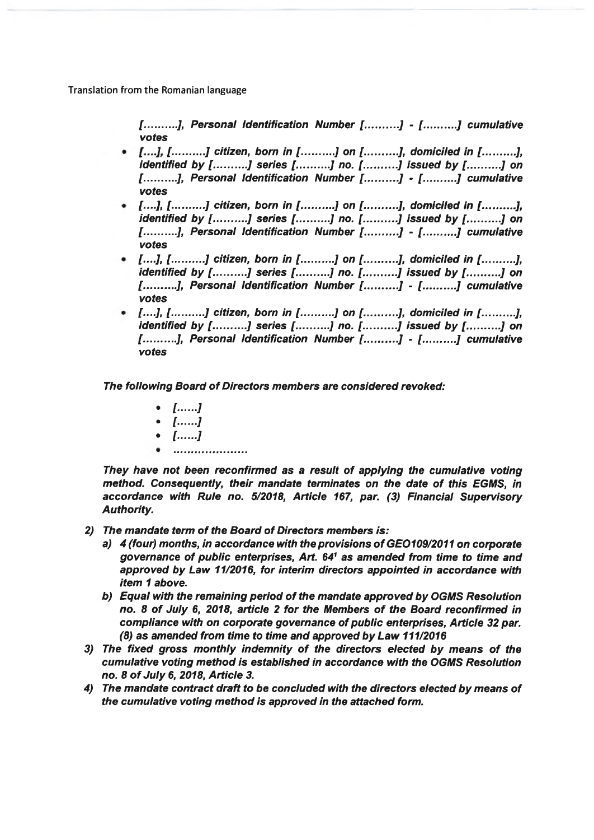Translation from the Romanian language

[..........J, Personal ldentification Number [..........J - [..........J cumulative votes

- [. . . .J, [ <sup>J</sup> cítizen, born in [..........J on [..........J, domiciled in [ J, identifiedd by [..........] series [..........] no. [..........] issued by [..........] on [..........], Personal Identification Number [..........] - [..........] cumulative votes
- [....], [..........] citizen, born in [..........] on [..........], domiciled in [..........],<br>identified by [.........] series [........] no [........] issued by [........] on d by [..........] series [..........] no. [..........] issued by [..........] on [………], Personal Identification Number [……….] - [……….] cumulative votes
- [....], [..........] citizen, born in [..........] on [..........], domiciled in [..........],<br>identified by [..........] series [.........] no [........] issued by [........] on d by [..........] series [..........] no. [..........] issued by [..........] on [..........], Personal Identification Number [..........] - [..........] cumulative votes
- [....], [..........] citizen, born in [..........] on [..........], domiciled in [..........],<br>identified by [..........] series [.........] no [..........] issued by [........] on d by [..........] series [..........] no. [..........] issued by [..........] raentmed by [……….] series [……….] no. [……….] issued by [……….] on<br>[……….], Personal Identification Number [……….] - [……….] cumulative votes

The following Board of Directors members are considered revoked:

- $\left[....\right]$
- $\left[....\right]$
- [.. $\dots$ .]
- ---------------------

They have not been reconfirmed as <sup>a</sup> result of applying the cumulative voting method. Consequently, their mandate terminates on the date of this EGMS, in accordance with Rule no. 5/2018, Article 167, par. (3) Financial SupervisoryAuthority.

- 2) The mandate term of the Board of Directors members is:
	- a)  $\,$  4 (four) months, in accordance with the provisions of GEO109/2011 on corporate governance of public enterprises, Art. 64' as amended from time to time and<br>converted by Law 44/2046, for interior directors and interior in accountance with approved by Law 11/2016, for interim directors appointed in accordance with<br>itam 1 shaw item <sup>1</sup> above.
	- b) Equal with the remaining period of the mandate approve<sup>d</sup> by OGMS Resolution no. 8 of July 6, 2018, article <sup>2</sup> for the Members of the Board reconfirmed incompliance with on corporate governance of public enterprises, Article 32 par. (8) as amended from time to time and approved by Law 111/2016
- 3) The fixed gross monthly indemnity of the directors elected by means of the cumulative voting method is established in accordance with the OGMS Resolution no. 8 of July 6, 2018, Article 3.
- 4) The mandate contract draft to be concluded with the directors elected by means of the cumulative voting method is approve<sup>d</sup> in the attached form.